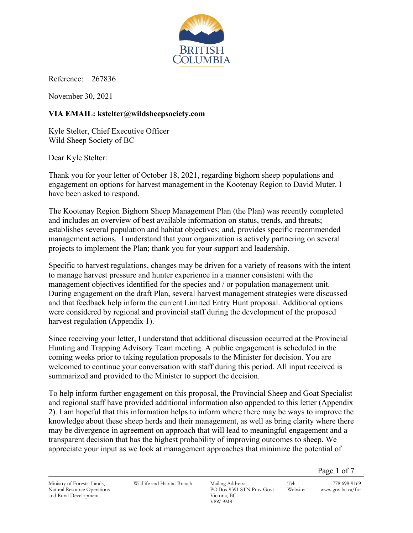

Reference: 267836

November 30, 2021

# **VIA EMAIL: kstelter@wildsheepsociety.com**

Kyle Stelter, Chief Executive Officer Wild Sheep Society of BC

Dear Kyle Stelter:

Thank you for your letter of October 18, 2021, regarding bighorn sheep populations and engagement on options for harvest management in the Kootenay Region to David Muter. I have been asked to respond.

The Kootenay Region Bighorn Sheep Management Plan (the Plan) was recently completed and includes an overview of best available information on status, trends, and threats; establishes several population and habitat objectives; and, provides specific recommended management actions. I understand that your organization is actively partnering on several projects to implement the Plan; thank you for your support and leadership.

Specific to harvest regulations, changes may be driven for a variety of reasons with the intent to manage harvest pressure and hunter experience in a manner consistent with the management objectives identified for the species and / or population management unit. During engagement on the draft Plan, several harvest management strategies were discussed and that feedback help inform the current Limited Entry Hunt proposal. Additional options were considered by regional and provincial staff during the development of the proposed harvest regulation (Appendix 1).

Since receiving your letter, I understand that additional discussion occurred at the Provincial Hunting and Trapping Advisory Team meeting. A public engagement is scheduled in the coming weeks prior to taking regulation proposals to the Minister for decision. You are welcomed to continue your conversation with staff during this period. All input received is summarized and provided to the Minister to support the decision.

To help inform further engagement on this proposal, the Provincial Sheep and Goat Specialist and regional staff have provided additional information also appended to this letter (Appendix 2). I am hopeful that this information helps to inform where there may be ways to improve the knowledge about these sheep herds and their management, as well as bring clarity where there may be divergence in agreement on approach that will lead to meaningful engagement and a transparent decision that has the highest probability of improving outcomes to sheep. We appreciate your input as we look at management approaches that minimize the potential of

Page 1 of 7

Ministry of Forests, Lands, Natural Resource Operations and Rural Development

Wildlife and Habitat Branch Mailing Address:

PO Box 9391 STN Prov Govt Victoria, BC V8W 9M8

Tel: 778 698-9169 Website: www.gov.bc.ca/for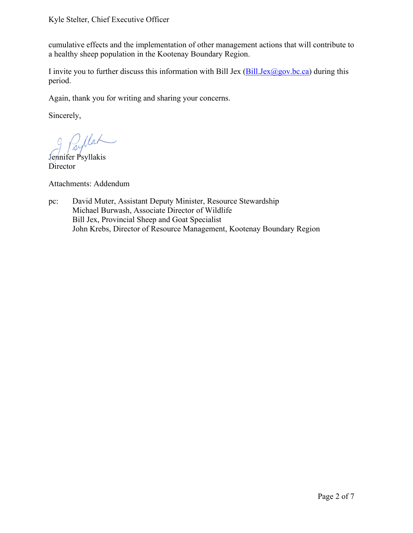#### Kyle Stelter, Chief Executive Officer

cumulative effects and the implementation of other management actions that will contribute to a healthy sheep population in the Kootenay Boundary Region.

I invite you to further discuss this information with Bill Jex  $(Bill.Jex@gov.bc.ca)$  during this period.

Again, thank you for writing and sharing your concerns.

Sincerely,

 $\mu$ 

Jennifer Psyllakis **Director** 

Attachments: Addendum

pc: David Muter, Assistant Deputy Minister, Resource Stewardship Michael Burwash, Associate Director of Wildlife Bill Jex, Provincial Sheep and Goat Specialist John Krebs, Director of Resource Management, Kootenay Boundary Region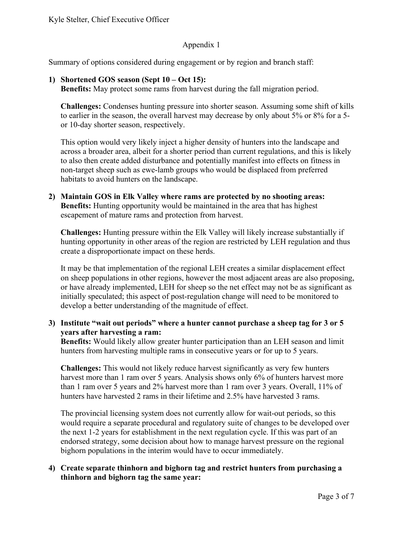### Appendix 1

Summary of options considered during engagement or by region and branch staff:

### **1) Shortened GOS season (Sept 10 – Oct 15):**

**Benefits:** May protect some rams from harvest during the fall migration period.

**Challenges:** Condenses hunting pressure into shorter season. Assuming some shift of kills to earlier in the season, the overall harvest may decrease by only about 5% or 8% for a 5 or 10-day shorter season, respectively.

This option would very likely inject a higher density of hunters into the landscape and across a broader area, albeit for a shorter period than current regulations, and this is likely to also then create added disturbance and potentially manifest into effects on fitness in non-target sheep such as ewe-lamb groups who would be displaced from preferred habitats to avoid hunters on the landscape.

**2) Maintain GOS in Elk Valley where rams are protected by no shooting areas: Benefits:** Hunting opportunity would be maintained in the area that has highest escapement of mature rams and protection from harvest.

**Challenges:** Hunting pressure within the Elk Valley will likely increase substantially if hunting opportunity in other areas of the region are restricted by LEH regulation and thus create a disproportionate impact on these herds.

It may be that implementation of the regional LEH creates a similar displacement effect on sheep populations in other regions, however the most adjacent areas are also proposing, or have already implemented, LEH for sheep so the net effect may not be as significant as initially speculated; this aspect of post-regulation change will need to be monitored to develop a better understanding of the magnitude of effect.

### **3) Institute "wait out periods" where a hunter cannot purchase a sheep tag for 3 or 5 years after harvesting a ram:**

**Benefits:** Would likely allow greater hunter participation than an LEH season and limit hunters from harvesting multiple rams in consecutive years or for up to 5 years.

**Challenges:** This would not likely reduce harvest significantly as very few hunters harvest more than 1 ram over 5 years. Analysis shows only 6% of hunters harvest more than 1 ram over 5 years and 2% harvest more than 1 ram over 3 years. Overall, 11% of hunters have harvested 2 rams in their lifetime and 2.5% have harvested 3 rams.

The provincial licensing system does not currently allow for wait-out periods, so this would require a separate procedural and regulatory suite of changes to be developed over the next 1-2 years for establishment in the next regulation cycle. If this was part of an endorsed strategy, some decision about how to manage harvest pressure on the regional bighorn populations in the interim would have to occur immediately.

### **4) Create separate thinhorn and bighorn tag and restrict hunters from purchasing a thinhorn and bighorn tag the same year:**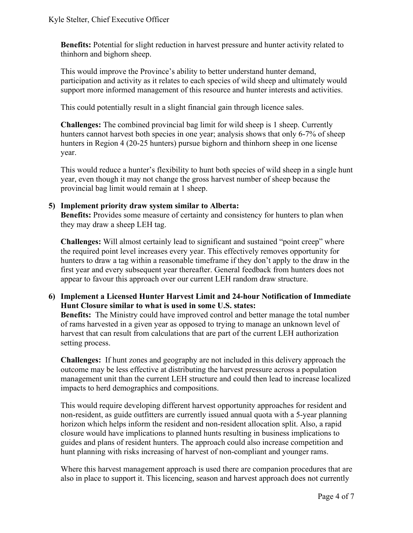**Benefits:** Potential for slight reduction in harvest pressure and hunter activity related to thinhorn and bighorn sheep.

This would improve the Province's ability to better understand hunter demand, participation and activity as it relates to each species of wild sheep and ultimately would support more informed management of this resource and hunter interests and activities.

This could potentially result in a slight financial gain through licence sales.

**Challenges:** The combined provincial bag limit for wild sheep is 1 sheep. Currently hunters cannot harvest both species in one year; analysis shows that only 6-7% of sheep hunters in Region 4 (20-25 hunters) pursue bighorn and thinhorn sheep in one license year.

This would reduce a hunter's flexibility to hunt both species of wild sheep in a single hunt year, even though it may not change the gross harvest number of sheep because the provincial bag limit would remain at 1 sheep.

## **5) Implement priority draw system similar to Alberta:**

**Benefits:** Provides some measure of certainty and consistency for hunters to plan when they may draw a sheep LEH tag.

**Challenges:** Will almost certainly lead to significant and sustained "point creep" where the required point level increases every year. This effectively removes opportunity for hunters to draw a tag within a reasonable timeframe if they don't apply to the draw in the first year and every subsequent year thereafter. General feedback from hunters does not appear to favour this approach over our current LEH random draw structure.

## **6) Implement a Licensed Hunter Harvest Limit and 24-hour Notification of Immediate Hunt Closure similar to what is used in some U.S. states:**

**Benefits:** The Ministry could have improved control and better manage the total number of rams harvested in a given year as opposed to trying to manage an unknown level of harvest that can result from calculations that are part of the current LEH authorization setting process.

**Challenges:** If hunt zones and geography are not included in this delivery approach the outcome may be less effective at distributing the harvest pressure across a population management unit than the current LEH structure and could then lead to increase localized impacts to herd demographics and compositions.

This would require developing different harvest opportunity approaches for resident and non-resident, as guide outfitters are currently issued annual quota with a 5-year planning horizon which helps inform the resident and non-resident allocation split. Also, a rapid closure would have implications to planned hunts resulting in business implications to guides and plans of resident hunters. The approach could also increase competition and hunt planning with risks increasing of harvest of non-compliant and younger rams.

Where this harvest management approach is used there are companion procedures that are also in place to support it. This licencing, season and harvest approach does not currently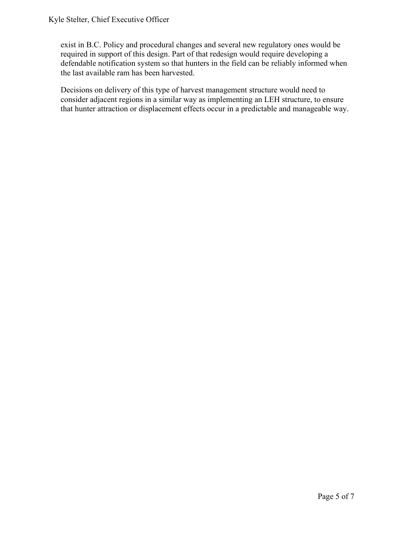exist in B.C. Policy and procedural changes and several new regulatory ones would be required in support of this design. Part of that redesign would require developing a defendable notification system so that hunters in the field can be reliably informed when the last available ram has been harvested.

Decisions on delivery of this type of harvest management structure would need to consider adjacent regions in a similar way as implementing an LEH structure, to ensure that hunter attraction or displacement effects occur in a predictable and manageable way.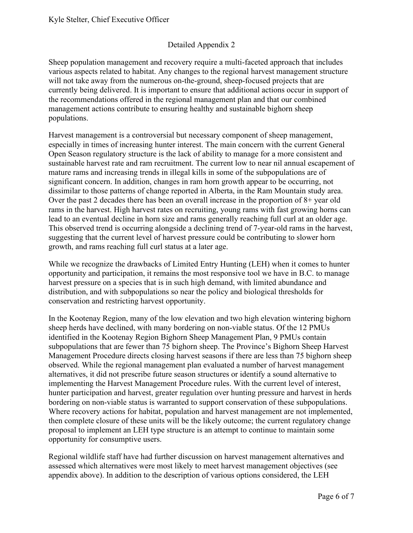# Detailed Appendix 2

Sheep population management and recovery require a multi-faceted approach that includes various aspects related to habitat. Any changes to the regional harvest management structure will not take away from the numerous on-the-ground, sheep-focused projects that are currently being delivered. It is important to ensure that additional actions occur in support of the recommendations offered in the regional management plan and that our combined management actions contribute to ensuring healthy and sustainable bighorn sheep populations.

Harvest management is a controversial but necessary component of sheep management, especially in times of increasing hunter interest. The main concern with the current General Open Season regulatory structure is the lack of ability to manage for a more consistent and sustainable harvest rate and ram recruitment. The current low to near nil annual escapement of mature rams and increasing trends in illegal kills in some of the subpopulations are of significant concern. In addition, changes in ram horn growth appear to be occurring, not dissimilar to those patterns of change reported in Alberta, in the Ram Mountain study area. Over the past 2 decades there has been an overall increase in the proportion of 8+ year old rams in the harvest. High harvest rates on recruiting, young rams with fast growing horns can lead to an eventual decline in horn size and rams generally reaching full curl at an older age. This observed trend is occurring alongside a declining trend of 7-year-old rams in the harvest, suggesting that the current level of harvest pressure could be contributing to slower horn growth, and rams reaching full curl status at a later age.

While we recognize the drawbacks of Limited Entry Hunting (LEH) when it comes to hunter opportunity and participation, it remains the most responsive tool we have in B.C. to manage harvest pressure on a species that is in such high demand, with limited abundance and distribution, and with subpopulations so near the policy and biological thresholds for conservation and restricting harvest opportunity.

In the Kootenay Region, many of the low elevation and two high elevation wintering bighorn sheep herds have declined, with many bordering on non-viable status. Of the 12 PMUs identified in the Kootenay Region Bighorn Sheep Management Plan, 9 PMUs contain subpopulations that are fewer than 75 bighorn sheep. The Province's Bighorn Sheep Harvest Management Procedure directs closing harvest seasons if there are less than 75 bighorn sheep observed. While the regional management plan evaluated a number of harvest management alternatives, it did not prescribe future season structures or identify a sound alternative to implementing the Harvest Management Procedure rules. With the current level of interest, hunter participation and harvest, greater regulation over hunting pressure and harvest in herds bordering on non-viable status is warranted to support conservation of these subpopulations. Where recovery actions for habitat, population and harvest management are not implemented, then complete closure of these units will be the likely outcome; the current regulatory change proposal to implement an LEH type structure is an attempt to continue to maintain some opportunity for consumptive users.

Regional wildlife staff have had further discussion on harvest management alternatives and assessed which alternatives were most likely to meet harvest management objectives (see appendix above). In addition to the description of various options considered, the LEH